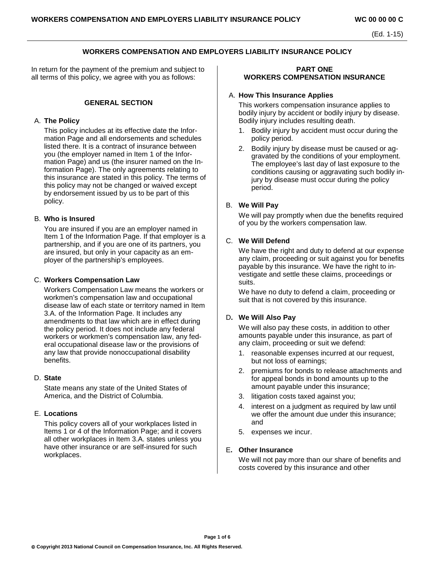#### **WORKERS COMPENSATION AND EMPLOYERS LIABILITY INSURANCE POLICY**

In return for the payment of the premium and subject to all terms of this policy, we agree with you as follows:

#### **GENERAL SECTION**

#### A. **The Policy**

This policy includes at its effective date the Information Page and all endorsements and schedules listed there. It is a contract of insurance between you (the employer named in Item 1 of the Information Page) and us (the insurer named on the Information Page). The only agreements relating to this insurance are stated in this policy. The terms of this policy may not be changed or waived except by endorsement issued by us to be part of this policy.

#### B. **Who is Insured**

You are insured if you are an employer named in Item 1 of the Information Page. If that employer is a partnership, and if you are one of its partners, you are insured, but only in your capacity as an employer of the partnership's employees.

#### C. **Workers Compensation Law**

Workers Compensation Law means the workers or workmen's compensation law and occupational disease law of each state or territory named in Item 3.A. of the Information Page. It includes any amendments to that law which are in effect during the policy period. It does not include any federal workers or workmen's compensation law, any federal occupational disease law or the provisions of any law that provide nonoccupational disability benefits.

#### D. **State**

State means any state of the United States of America, and the District of Columbia.

#### E. **Locations**

This policy covers all of your workplaces listed in Items 1 or 4 of the Information Page; and it covers all other workplaces in Item 3.A. states unless you have other insurance or are self-insured for such workplaces.

#### **PART ONE WORKERS COMPENSATION INSURANCE**

#### A. **How This Insurance Applies**

This workers compensation insurance applies to bodily injury by accident or bodily injury by disease. Bodily injury includes resulting death.

- 1. Bodily injury by accident must occur during the policy period.
- 2. Bodily injury by disease must be caused or aggravated by the conditions of your employment. The employee's last day of last exposure to the conditions causing or aggravating such bodily injury by disease must occur during the policy period.

#### B. **We Will Pay**

We will pay promptly when due the benefits required of you by the workers compensation law.

#### C. **We Will Defend**

We have the right and duty to defend at our expense any claim, proceeding or suit against you for benefits payable by this insurance. We have the right to investigate and settle these claims, proceedings or suits.

We have no duty to defend a claim, proceeding or suit that is not covered by this insurance.

#### D**. We Will Also Pay**

We will also pay these costs, in addition to other amounts payable under this insurance, as part of any claim, proceeding or suit we defend:

- 1. reasonable expenses incurred at our request, but not loss of earnings;
- 2. premiums for bonds to release attachments and for appeal bonds in bond amounts up to the amount payable under this insurance;
- 3. litigation costs taxed against you;
- 4. interest on a judgment as required by law until we offer the amount due under this insurance; and
- 5. expenses we incur.

### E**. Other Insurance**

**Page 1 of 6**

We will not pay more than our share of benefits and costs covered by this insurance and other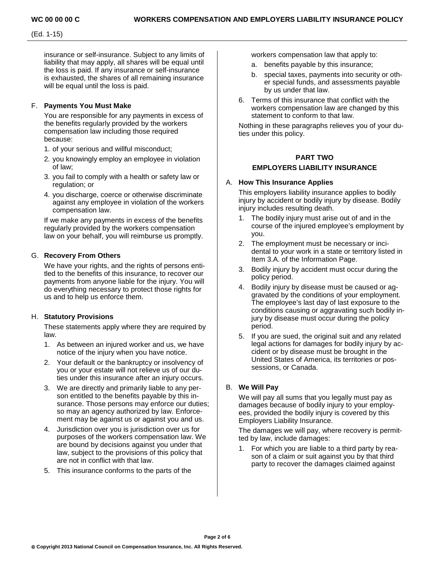(Ed. 1-15)

insurance or self-insurance. Subject to any limits of liability that may apply, all shares will be equal until the loss is paid. If any insurance or self-insurance is exhausted, the shares of all remaining insurance will be equal until the loss is paid.

# F. **Payments You Must Make**

You are responsible for any payments in excess of the benefits regularly provided by the workers compensation law including those required because:

- 1. of your serious and willful misconduct;
- 2. you knowingly employ an employee in violation of law;
- 3. you fail to comply with a health or safety law or regulation; or
- 4. you discharge, coerce or otherwise discriminate against any employee in violation of the workers compensation law.

If we make any payments in excess of the benefits regularly provided by the workers compensation law on your behalf, you will reimburse us promptly.

# G. **Recovery From Others**

We have your rights, and the rights of persons entitled to the benefits of this insurance, to recover our payments from anyone liable for the injury. You will do everything necessary to protect those rights for us and to help us enforce them.

# H. **Statutory Provisions**

These statements apply where they are required by law.

- 1. As between an injured worker and us, we have notice of the injury when you have notice.
- 2. Your default or the bankruptcy or insolvency of you or your estate will not relieve us of our duties under this insurance after an injury occurs.
- 3. We are directly and primarily liable to any person entitled to the benefits payable by this insurance. Those persons may enforce our duties; so may an agency authorized by law. Enforcement may be against us or against you and us.
- 4. Jurisdiction over you is jurisdiction over us for purposes of the workers compensation law. We are bound by decisions against you under that law, subject to the provisions of this policy that are not in conflict with that law.
- 5. This insurance conforms to the parts of the

workers compensation law that apply to:

- a. benefits payable by this insurance;
- b. special taxes, payments into security or other special funds, and assessments payable by us under that law.
- 6. Terms of this insurance that conflict with the workers compensation law are changed by this statement to conform to that law.

Nothing in these paragraphs relieves you of your duties under this policy.

### **PART TWO**

### **EMPLOYERS LIABILITY INSURANCE**

### A. **How This Insurance Applies**

This employers liability insurance applies to bodily injury by accident or bodily injury by disease. Bodily injury includes resulting death.

- 1. The bodily injury must arise out of and in the course of the injured employee's employment by you.
- 2. The employment must be necessary or incidental to your work in a state or territory listed in Item 3.A. of the Information Page.
- 3. Bodily injury by accident must occur during the policy period.
- 4. Bodily injury by disease must be caused or aggravated by the conditions of your employment. The employee's last day of last exposure to the conditions causing or aggravating such bodily injury by disease must occur during the policy period.
- 5. If you are sued, the original suit and any related legal actions for damages for bodily injury by accident or by disease must be brought in the United States of America, its territories or possessions, or Canada.

# B. **We Will Pay**

**Page 2 of 6**

We will pay all sums that you legally must pay as damages because of bodily injury to your employees, provided the bodily injury is covered by this Employers Liability Insurance.

The damages we will pay, where recovery is permitted by law, include damages:

1. For which you are liable to a third party by reason of a claim or suit against you by that third party to recover the damages claimed against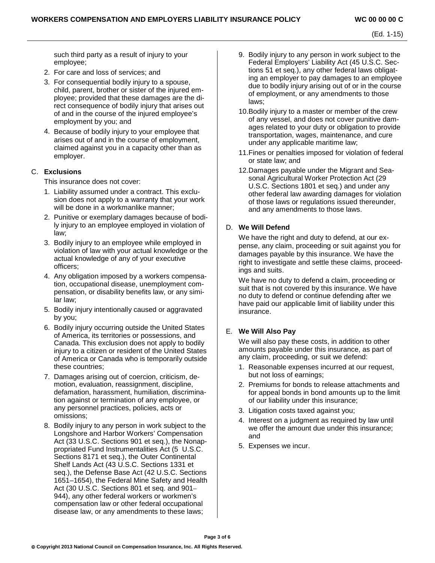such third party as a result of injury to your employee;

- 2. For care and loss of services; and
- 3. For consequential bodily injury to a spouse, child, parent, brother or sister of the injured employee; provided that these damages are the direct consequence of bodily injury that arises out of and in the course of the injured employee's employment by you; and
- 4. Because of bodily injury to your employee that arises out of and in the course of employment, claimed against you in a capacity other than as employer.

# C. **Exclusions**

This insurance does not cover:

- 1. Liability assumed under a contract. This exclusion does not apply to a warranty that your work will be done in a workmanlike manner;
- 2. Punitive or exemplary damages because of bodily injury to an employee employed in violation of law;
- 3. Bodily injury to an employee while employed in violation of law with your actual knowledge or the actual knowledge of any of your executive officers;
- 4. Any obligation imposed by a workers compensation, occupational disease, unemployment compensation, or disability benefits law, or any similar law;
- 5. Bodily injury intentionally caused or aggravated by you;
- 6. Bodily injury occurring outside the United States of America, its territories or possessions, and Canada. This exclusion does not apply to bodily injury to a citizen or resident of the United States of America or Canada who is temporarily outside these countries;
- 7. Damages arising out of coercion, criticism, demotion, evaluation, reassignment, discipline, defamation, harassment, humiliation, discrimination against or termination of any employee, or any personnel practices, policies, acts or omissions;
- 8. Bodily injury to any person in work subject to the Longshore and Harbor Workers' Compensation Act (33 U.S.C. Sections 901 et seq.), the Nonappropriated Fund Instrumentalities Act (5 U.S.C. Sections 8171 et seq.), the Outer Continental Shelf Lands Act (43 U.S.C. Sections 1331 et seq.), the Defense Base Act (42 U.S.C. Sections 1651–1654), the Federal Mine Safety and Health Act (30 U.S.C. Sections 801 et seq. and 901– 944), any other federal workers or workmen's compensation law or other federal occupational disease law, or any amendments to these laws;
- 9. Bodily injury to any person in work subject to the Federal Employers' Liability Act (45 U.S.C. Sections 51 et seq.), any other federal laws obligating an employer to pay damages to an employee due to bodily injury arising out of or in the course of employment, or any amendments to those laws;
- 10.Bodily injury to a master or member of the crew of any vessel, and does not cover punitive damages related to your duty or obligation to provide transportation, wages, maintenance, and cure under any applicable maritime law;
- 11.Fines or penalties imposed for violation of federal or state law; and
- 12.Damages payable under the Migrant and Seasonal Agricultural Worker Protection Act (29 U.S.C. Sections 1801 et seq.) and under any other federal law awarding damages for violation of those laws or regulations issued thereunder, and any amendments to those laws.

# D. **We Will Defend**

We have the right and duty to defend, at our expense, any claim, proceeding or suit against you for damages payable by this insurance. We have the right to investigate and settle these claims, proceedings and suits.

We have no duty to defend a claim, proceeding or suit that is not covered by this insurance. We have no duty to defend or continue defending after we have paid our applicable limit of liability under this insurance.

# E. **We Will Also Pay**

We will also pay these costs, in addition to other amounts payable under this insurance, as part of any claim, proceeding, or suit we defend:

- 1. Reasonable expenses incurred at our request, but not loss of earnings;
- 2. Premiums for bonds to release attachments and for appeal bonds in bond amounts up to the limit of our liability under this insurance;
- 3. Litigation costs taxed against you;
- 4. Interest on a judgment as required by law until we offer the amount due under this insurance; and
- 5. Expenses we incur.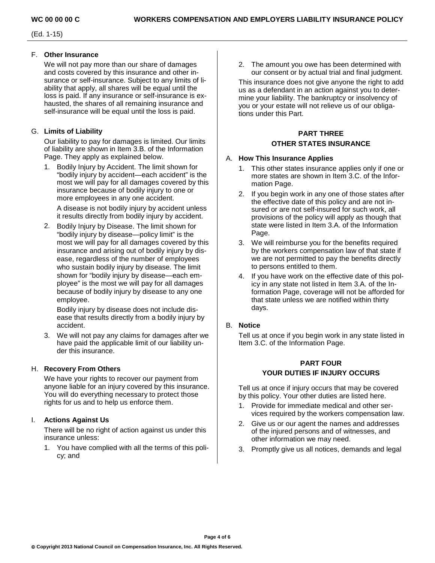(Ed. 1-15)

#### F. **Other Insurance**

We will not pay more than our share of damages and costs covered by this insurance and other insurance or self-insurance. Subject to any limits of liability that apply, all shares will be equal until the loss is paid. If any insurance or self-insurance is exhausted, the shares of all remaining insurance and self-insurance will be equal until the loss is paid.

# G. **Limits of Liability**

Our liability to pay for damages is limited. Our limits of liability are shown in Item 3.B. of the Information Page. They apply as explained below.

1. Bodily Injury by Accident. The limit shown for "bodily injury by accident—each accident" is the most we will pay for all damages covered by this insurance because of bodily injury to one or more employees in any one accident.

A disease is not bodily injury by accident unless it results directly from bodily injury by accident.

2. Bodily Injury by Disease. The limit shown for "bodily injury by disease—policy limit" is the most we will pay for all damages covered by this insurance and arising out of bodily injury by disease, regardless of the number of employees who sustain bodily injury by disease. The limit shown for "bodily injury by disease—each employee" is the most we will pay for all damages because of bodily injury by disease to any one employee.

Bodily injury by disease does not include disease that results directly from a bodily injury by accident.

3. We will not pay any claims for damages after we have paid the applicable limit of our liability under this insurance.

# H. **Recovery From Others**

We have your rights to recover our payment from anyone liable for an injury covered by this insurance. You will do everything necessary to protect those rights for us and to help us enforce them.

# I. **Actions Against Us**

There will be no right of action against us under this insurance unless:

1. You have complied with all the terms of this policy; and

2. The amount you owe has been determined with our consent or by actual trial and final judgment.

This insurance does not give anyone the right to add us as a defendant in an action against you to determine your liability. The bankruptcy or insolvency of you or your estate will not relieve us of our obligations under this Part.

# **PART THREE OTHER STATES INSURANCE**

#### A. **How This Insurance Applies**

- 1. This other states insurance applies only if one or more states are shown in Item 3.C. of the Information Page.
- 2. If you begin work in any one of those states after the effective date of this policy and are not insured or are not self-insured for such work, all provisions of the policy will apply as though that state were listed in Item 3.A. of the Information Page.
- 3. We will reimburse you for the benefits required by the workers compensation law of that state if we are not permitted to pay the benefits directly to persons entitled to them.
- 4. If you have work on the effective date of this policy in any state not listed in Item 3.A. of the Information Page, coverage will not be afforded for that state unless we are notified within thirty days.

# B. **Notice**

**Page 4 of 6**

Tell us at once if you begin work in any state listed in Item 3.C. of the Information Page.

# **PART FOUR YOUR DUTIES IF INJURY OCCURS**

Tell us at once if injury occurs that may be covered by this policy. Your other duties are listed here.

- 1. Provide for immediate medical and other services required by the workers compensation law.
- 2. Give us or our agent the names and addresses of the injured persons and of witnesses, and other information we may need.
- 3. Promptly give us all notices, demands and legal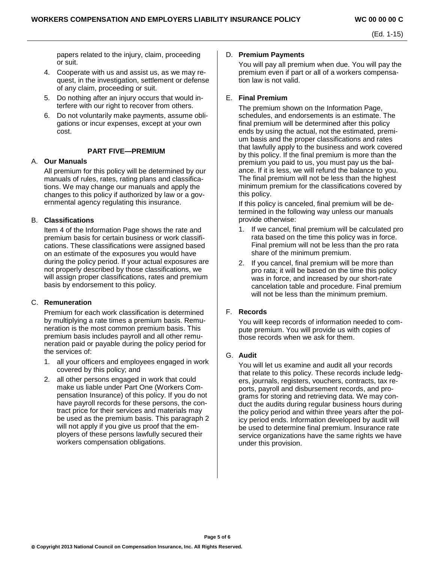papers related to the injury, claim, proceeding or suit.

- 4. Cooperate with us and assist us, as we may request, in the investigation, settlement or defense of any claim, proceeding or suit.
- 5. Do nothing after an injury occurs that would interfere with our right to recover from others.
- 6. Do not voluntarily make payments, assume obligations or incur expenses, except at your own cost.

# **PART FIVE—PREMIUM**

### A. **Our Manuals**

All premium for this policy will be determined by our manuals of rules, rates, rating plans and classifications. We may change our manuals and apply the changes to this policy if authorized by law or a governmental agency regulating this insurance.

# B. **Classifications**

Item 4 of the Information Page shows the rate and premium basis for certain business or work classifications. These classifications were assigned based on an estimate of the exposures you would have during the policy period. If your actual exposures are not properly described by those classifications, we will assign proper classifications, rates and premium basis by endorsement to this policy.

# C. **Remuneration**

Premium for each work classification is determined by multiplying a rate times a premium basis. Remuneration is the most common premium basis. This premium basis includes payroll and all other remuneration paid or payable during the policy period for the services of:

- 1. all your officers and employees engaged in work covered by this policy; and
- 2. all other persons engaged in work that could make us liable under Part One (Workers Compensation Insurance) of this policy. If you do not have payroll records for these persons, the contract price for their services and materials may be used as the premium basis. This paragraph 2 will not apply if you give us proof that the employers of these persons lawfully secured their workers compensation obligations.

### D. **Premium Payments**

You will pay all premium when due. You will pay the premium even if part or all of a workers compensation law is not valid.

# E. **Final Premium**

The premium shown on the Information Page, schedules, and endorsements is an estimate. The final premium will be determined after this policy ends by using the actual, not the estimated, premium basis and the proper classifications and rates that lawfully apply to the business and work covered by this policy. If the final premium is more than the premium you paid to us, you must pay us the balance. If it is less, we will refund the balance to you. The final premium will not be less than the highest minimum premium for the classifications covered by this policy.

If this policy is canceled, final premium will be determined in the following way unless our manuals provide otherwise:

- 1. If we cancel, final premium will be calculated pro rata based on the time this policy was in force. Final premium will not be less than the pro rata share of the minimum premium.
- 2. If you cancel, final premium will be more than pro rata; it will be based on the time this policy was in force, and increased by our short-rate cancelation table and procedure. Final premium will not be less than the minimum premium.

# F. **Records**

You will keep records of information needed to compute premium. You will provide us with copies of those records when we ask for them.

# G. **Audit**

**Page 5 of 6**

You will let us examine and audit all your records that relate to this policy. These records include ledgers, journals, registers, vouchers, contracts, tax reports, payroll and disbursement records, and programs for storing and retrieving data. We may conduct the audits during regular business hours during the policy period and within three years after the policy period ends. Information developed by audit will be used to determine final premium. Insurance rate service organizations have the same rights we have under this provision.